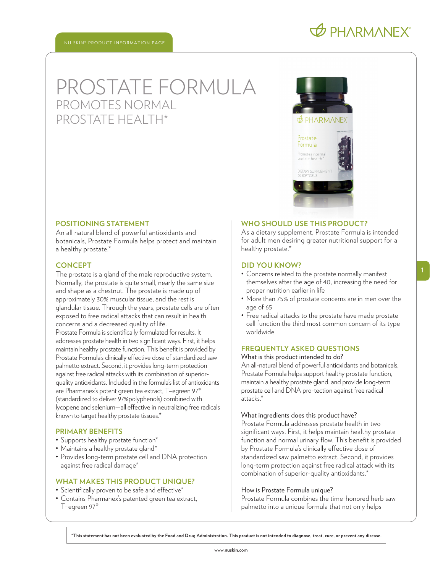# PROSTATE FORMULA PROMOTES NORMAL PROSTATE HEALTH\*



### **POSITIONING STATEMENT**

An all natural blend of powerful antioxidants and botanicals, Prostate Formula helps protect and maintain a healthy prostate.\*

### **CONCEPT**

The prostate is a gland of the male reproductive system. Normally, the prostate is quite small, nearly the same size and shape as a chestnut. The prostate is made up of approximately 30% muscular tissue, and the rest is glandular tissue. Through the years, prostate cells are often exposed to free radical attacks that can result in health concerns and a decreased quality of life. Prostate Formula is scientifically formulated for results. It addresses prostate health in two significant ways. First, it helps maintain healthy prostate function. This benefit is provided by Prostate Formula's clinically effective dose of standardized saw palmetto extract. Second, it provides long-term protection against free radical attacks with its combination of superiorquality antioxidants. Included in the formula's list of antioxidants are Pharmanex's potent green tea extract, T–egreen 97® (standardized to deliver 97%polyphenols) combined with lycopene and selenium—all effective in neutralizing free radicals known to target healthy prostate tissues.\*

### **PRIMARY BENEFITS**

- Supports healthy prostate function\*
- Maintains a healthy prostate gland\*
- Provides long-term prostate cell and DNA protection against free radical damage\*

# **WHAT MAKES THIS PRODUCT UNIQUE?**

- Scientifically proven to be safe and effective\*
- Contains Pharmanex's patented green tea extract, T–egreen 97®

### **WHO SHOULD USE THIS PRODUCT?**

As a dietary supplement, Prostate Formula is intended for adult men desiring greater nutritional support for a healthy prostate.\*

### **DID YOU KNOW?**

- Concerns related to the prostate normally manifest themselves after the age of 40, increasing the need for proper nutrition earlier in life
- More than 75% of prostate concerns are in men over the age of 65
- Free radical attacks to the prostate have made prostate cell function the third most common concern of its type worldwide

### **FREQUENTLY ASKED QUESTIONS**

What is this product intended to do?

An all-natural blend of powerful antioxidants and botanicals, Prostate Formula helps support healthy prostate function, maintain a healthy prostate gland, and provide long-term prostate cell and DNA pro-tection against free radical attacks.\*

### What ingredients does this product have?

Prostate Formula addresses prostate health in two significant ways. First, it helps maintain healthy prostate function and normal urinary flow. This benefit is provided by Prostate Formula's clinically effective dose of standardized saw palmetto extract. Second, it provides long-term protection against free radical attack with its combination of superior-quality antioxidants.\*

### How is Prostate Formula unique?

Prostate Formula combines the time-honored herb saw palmetto into a unique formula that not only helps

**\*This statement has not been evaluated by the Food and Drug Administration. This product is not intended to diagnose, treat, cure, or prevent any disease.**